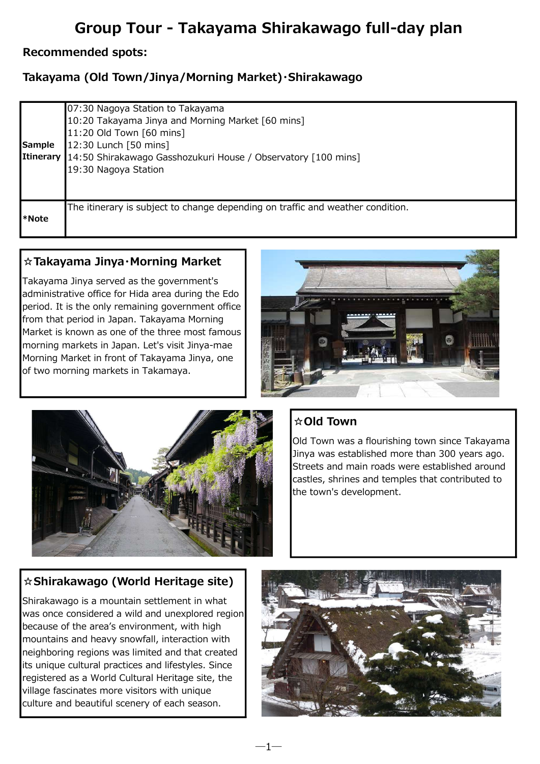# Group Tour - Takayama Shirakawago full-day plan

#### Recommended spots:

# Takayama (Old Town/Jinya/Morning Market)・Shirakawago

| <b>Sample</b> | 07:30 Nagoya Station to Takayama<br>10:20 Takayama Jinya and Morning Market [60 mins]<br>11:20 Old Town [60 mins]<br>12:30 Lunch [50 mins]<br>Itinerary 14:50 Shirakawago Gasshozukuri House / Observatory [100 mins]<br>19:30 Nagoya Station |
|---------------|-----------------------------------------------------------------------------------------------------------------------------------------------------------------------------------------------------------------------------------------------|
| l*Note        | The itinerary is subject to change depending on traffic and weather condition.                                                                                                                                                                |

 $-1-$ 

#### ☆Takayama Jinya・Morning Market

Takayama Jinya served as the government's administrative office for Hida area during the Edo period. It is the only remaining government office from that period in Japan. Takayama Morning Market is known as one of the three most famous morning markets in Japan. Let's visit Jinya-mae Morning Market in front of Takayama Jinya, one of two morning markets in Takamaya.





# ☆Old Town

Old Town was a flourishing town since Takayama Jinya was established more than 300 years ago. Streets and main roads were established around castles, shrines and temples that contributed to the town's development.

## ☆Shirakawago (World Heritage site)

Shirakawago is a mountain settlement in what was once considered a wild and unexplored region because of the area's environment, with high mountains and heavy snowfall, interaction with neighboring regions was limited and that created its unique cultural practices and lifestyles. Since registered as a World Cultural Heritage site, the village fascinates more visitors with unique culture and beautiful scenery of each season.